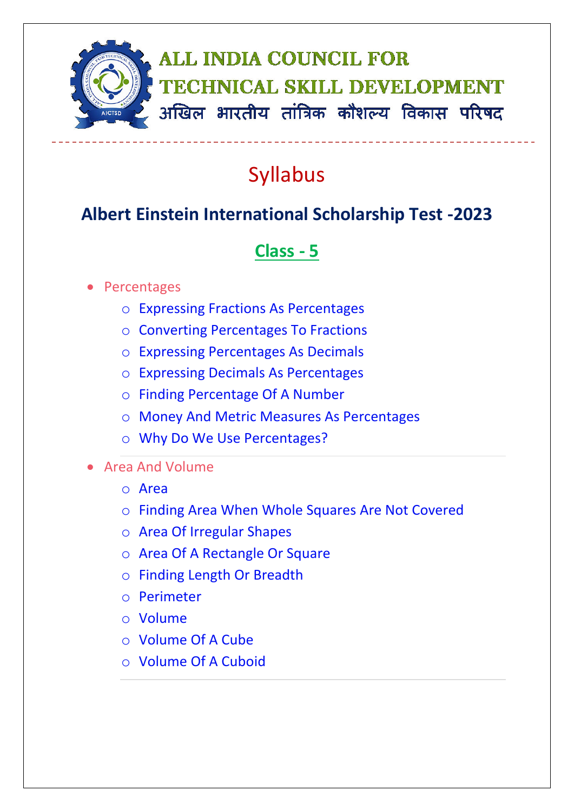

# Syllabus

### **Albert Einstein International Scholarship Test -2023**

## **Class - 5**

#### • Percentages

- o Expressing Fractions As Percentages
- o Converting Percentages To Fractions
- o Expressing Percentages As Decimals
- o Expressing Decimals As Percentages
- o Finding Percentage Of A Number
- o Money And Metric Measures As Percentages
- o Why Do We Use Percentages?
- Area And Volume
	- o Area
	- o Finding Area When Whole Squares Are Not Covered
	- o Area Of Irregular Shapes
	- o Area Of A Rectangle Or Square
	- o Finding Length Or Breadth
	- o Perimeter
	- o Volume
	- o Volume Of A Cube
	- o Volume Of A Cuboid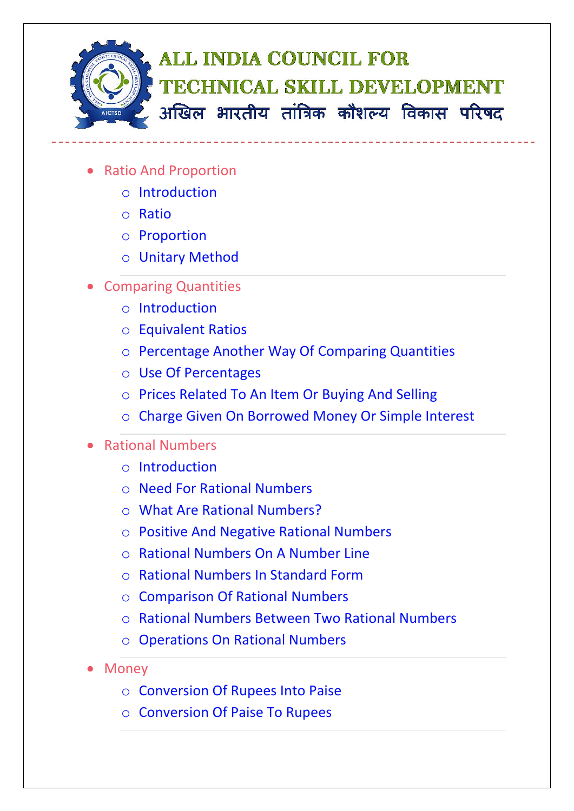

- Ratio And Proportion
	- o Introduction
	- o Ratio
	- o Proportion
	- o Unitary Method
- Comparing Quantities
	- o Introduction
	- o Equivalent Ratios
	- o Percentage Another Way Of Comparing Quantities
	- o Use Of Percentages
	- o Prices Related To An Item Or Buying And Selling
	- o Charge Given On Borrowed Money Or Simple Interest

#### Rational Numbers

- o Introduction
- o Need For Rational Numbers
- o What Are Rational Numbers?
- o Positive And Negative Rational Numbers
- o Rational Numbers On A Number Line
- o Rational Numbers In Standard Form
- o Comparison Of Rational Numbers
- o Rational Numbers Between Two Rational Numbers
- o Operations On Rational Numbers
- Money
	- o Conversion Of Rupees Into Paise
	- o Conversion Of Paise To Rupees